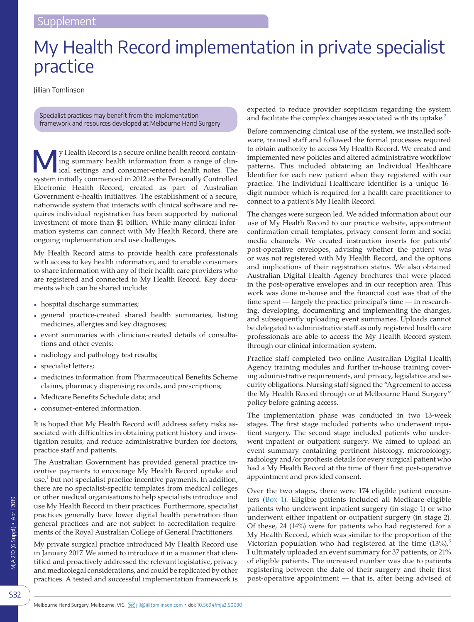## My Health Record implementation in private specialist practice

Jillian Tomlinson

Specialist practices may benefit from the implementation framework and resources developed at Melbourne Hand Surgery

We Health Record is a secure online health record contain-<br>ing summary health information from a range of clin-<br>ical settings and consumer-entered health notes. The ing summary health information from a range of clinsystem initially commenced in 2012 as the Personally Controlled Electronic Health Record, created as part of Australian Government e-health initiatives. The establishment of a secure, nationwide system that interacts with clinical software and requires individual registration has been supported by national investment of more than \$1 billion. While many clinical information systems can connect with My Health Record, there are ongoing implementation and use challenges.

My Health Record aims to provide health care professionals with access to key health information, and to enable consumers to share information with any of their health care providers who are registered and connected to My Health Record. Key documents which can be shared include:

- hospital discharge summaries;
- general practice-created shared health summaries, listing medicines, allergies and key diagnoses;
- event summaries with clinician-created details of consultations and other events;
- radiology and pathology test results;
- specialist letters;
- medicines information from Pharmaceutical Benefits Scheme claims, pharmacy dispensing records, and prescriptions;
- Medicare Benefits Schedule data; and
- consumer-entered information.

It is hoped that My Health Record will address safety risks associated with difficulties in obtaining patient history and investigation results, and reduce administrative burden for doctors, practice staff and patients.

The Australian Government has provided general practice incentive payments to encourage My Health Record uptake and use, $<sup>1</sup>$  but not specialist practice incentive payments. In addition,</sup> there are no specialist-specific templates from medical colleges or other medical organisations to help specialists introduce and use My Health Record in their practices. Furthermore, specialist practices generally have lower digital health penetration than general practices and are not subject to accreditation requirements of the Royal Australian College of General Practitioners.

My private surgical practice introduced My Health Record use in January 2017. We aimed to introduce it in a manner that identified and proactively addressed the relevant legislative, privacy and medicolegal considerations, and could be replicated by other practices. A tested and successful implementation framework is expected to reduce provider scepticism regarding the system and facilitate the complex changes associated with its uptake.<sup>[2](#page-2-1)</sup>

Before commencing clinical use of the system, we installed software, trained staff and followed the formal processes required to obtain authority to access My Health Record. We created and implemented new policies and altered administrative workflow patterns. This included obtaining an Individual Healthcare Identifier for each new patient when they registered with our practice. The Individual Healthcare Identifier is a unique 16 digit number which is required for a health care practitioner to connect to a patient's My Health Record.

The changes were surgeon led. We added information about our use of My Health Record to our practice website, appointment confirmation email templates, privacy consent form and social media channels. We created instruction inserts for patients' post-operative envelopes, advising whether the patient was or was not registered with My Health Record, and the options and implications of their registration status. We also obtained Australian Digital Health Agency brochures that were placed in the post-operative envelopes and in our reception area. This work was done in-house and the financial cost was that of the time spent — largely the practice principal's time — in researching, developing, documenting and implementing the changes, and subsequently uploading event summaries. Uploads cannot be delegated to administrative staff as only registered health care professionals are able to access the My Health Record system through our clinical information system.

Practice staff completed two online Australian Digital Health Agency training modules and further in-house training covering administrative requirements, and privacy, legislative and security obligations. Nursing staff signed the "Agreement to access the My Health Record through or at Melbourne Hand Surgery" policy before gaining access.

The implementation phase was conducted in two 13-week stages. The first stage included patients who underwent inpatient surgery. The second stage included patients who underwent inpatient or outpatient surgery. We aimed to upload an event summary containing pertinent histology, microbiology, radiology and/or prothesis details for every surgical patient who had a My Health Record at the time of their first post-operative appointment and provided consent.

Over the two stages, there were 174 eligible patient encounters [\(Box 1\)](#page-1-0). Eligible patients included all Medicare-eligible patients who underwent inpatient surgery (in stage 1) or who underwent either inpatient or outpatient surgery (in stage 2). Of these, 24 (14%) were for patients who had registered for a My Health Record, which was similar to the proportion of the Victorian population who had registered at the time  $(13\%)$  $(13\%)$  $(13\%)$ .<sup>3</sup> I ultimately uploaded an event summary for 37 patients, or 21% of eligible patients. The increased number was due to patients registering between the date of their surgery and their first post-operative appointment — that is, after being advised of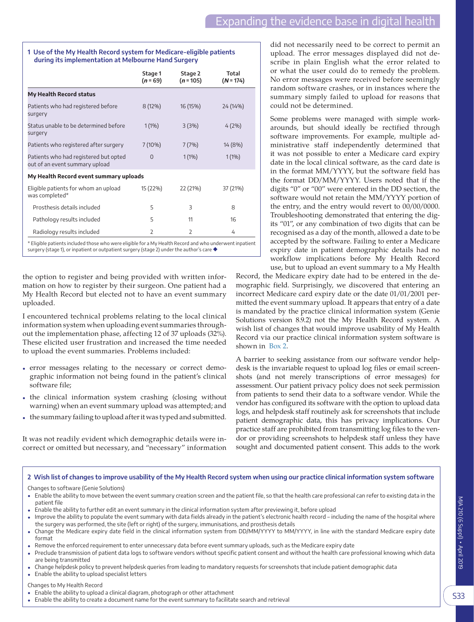## <span id="page-1-0"></span>**1 Use of the My Health Record system for Medicare-eligible patients during its implementation at Melbourne Hand Surgery**

|                                                                         | Stage 1<br>$(n = 69)$ | Stage 2<br>$(n = 105)$ | Total<br>$(N = 174)$ |
|-------------------------------------------------------------------------|-----------------------|------------------------|----------------------|
| <b>My Health Record status</b>                                          |                       |                        |                      |
| Patients who had registered before<br>surgery                           | $8(12\%)$             | 16 (15%)               | 24 (14%)             |
| Status unable to be determined before<br>surgery                        | $1(1\%)$              | 3(3%)                  | $4(2\%)$             |
| Patients who registered after surgery                                   | $7(10\%)$             | 7(7%)                  | 14 (8%)              |
| Patients who had registered but opted<br>out of an event summary upload | $\Omega$              | 1(1%)                  | $1(1\%)$             |
| My Health Record event summary uploads                                  |                       |                        |                      |
| Eligible patients for whom an upload<br>was completed*                  | 15 (22%)              | 22 (21%)               | 37 (21%)             |
| Prosthesis details included                                             | 5                     | 3                      | 8                    |
| Pathology results included                                              | 5                     | 11                     | 16                   |
| Radiology results included                                              | $\overline{2}$        | $\overline{2}$         | 4                    |

\* Eligible patients included those who were eligible for a My Health Record and who underwent inpatient surgery (stage 1), or inpatient or outpatient surgery (stage 2) under the author's care ◆

the option to register and being provided with written information on how to register by their surgeon. One patient had a My Health Record but elected not to have an event summary uploaded.

I encountered technical problems relating to the local clinical information system when uploading event summaries throughout the implementation phase, affecting 12 of 37 uploads (32%). These elicited user frustration and increased the time needed to upload the event summaries. Problems included:

- error messages relating to the necessary or correct demographic information not being found in the patient's clinical software file;
- the clinical information system crashing (closing without warning) when an event summary upload was attempted; and
- the summary failing to upload after it was typed and submitted.

It was not readily evident which demographic details were incorrect or omitted but necessary, and "necessary" information did not necessarily need to be correct to permit an upload. The error messages displayed did not describe in plain English what the error related to or what the user could do to remedy the problem. No error messages were received before seemingly random software crashes, or in instances where the summary simply failed to upload for reasons that could not be determined.

Some problems were managed with simple workarounds, but should ideally be rectified through software improvements. For example, multiple administrative staff independently determined that it was not possible to enter a Medicare card expiry date in the local clinical software, as the card date is in the format MM/YYYY, but the software field has the format DD/MM/YYYY. Users noted that if the digits "0" or "00" were entered in the DD section, the software would not retain the MM/YYYY portion of the entry, and the entry would revert to 00/00/0000. Troubleshooting demonstrated that entering the digits "01", or any combination of two digits that can be recognised as a day of the month, allowed a date to be accepted by the software. Failing to enter a Medicare expiry date in patient demographic details had no workflow implications before My Health Record use, but to upload an event summary to a My Health

Record, the Medicare expiry date had to be entered in the demographic field. Surprisingly, we discovered that entering an incorrect Medicare card expiry date or the date 01/01/2001 permitted the event summary upload. It appears that entry of a date is mandated by the practice clinical information system (Genie Solutions version 8.9.2) not the My Health Record system. A wish list of changes that would improve usability of My Health Record via our practice clinical information system software is shown in [Box 2.](#page-1-1)

A barrier to seeking assistance from our software vendor helpdesk is the invariable request to upload log files or email screenshots (and not merely transcriptions of error messages) for assessment. Our patient privacy policy does not seek permission from patients to send their data to a software vendor. While the vendor has configured its software with the option to upload data logs, and helpdesk staff routinely ask for screenshots that include patient demographic data, this has privacy implications. Our practice staff are prohibited from transmitting log files to the vendor or providing screenshots to helpdesk staff unless they have sought and documented patient consent. This adds to the work

## <span id="page-1-1"></span>**2 Wish list of changes to improve usability of the My Health Record system when using our practice clinical information system software** Changes to software (Genie Solutions)

- Enable the ability to move between the event summary creation screen and the patient file, so that the health care professional can refer to existing data in the patient file
- Enable the ability to further edit an event summary in the clinical information system after previewing it, before upload
- Improve the ability to populate the event summary with data fields already in the patient's electronic health record including the name of the hospital where the surgery was performed, the site (left or right) of the surgery, immunisations, and prosthesis details
- Change the Medicare expiry date field in the clinical information system from DD/MM/YYYY to MM/YYYY, in line with the standard Medicare expiry date format
- Remove the enforced requirement to enter unnecessary data before event summary uploads, such as the Medicare expiry date
- Preclude transmission of patient data logs to software vendors without specific patient consent and without the health care professional knowing which data are being transmitted
- Change helpdesk policy to prevent helpdesk queries from leading to mandatory requests for screenshots that include patient demographic data
- Enable the ability to upload specialist letters

## Changes to My Health Record

- Enable the ability to upload a clinical diagram, photograph or other attachment
- Enable the ability to create a document name for the event summary to facilitate search and retrieval